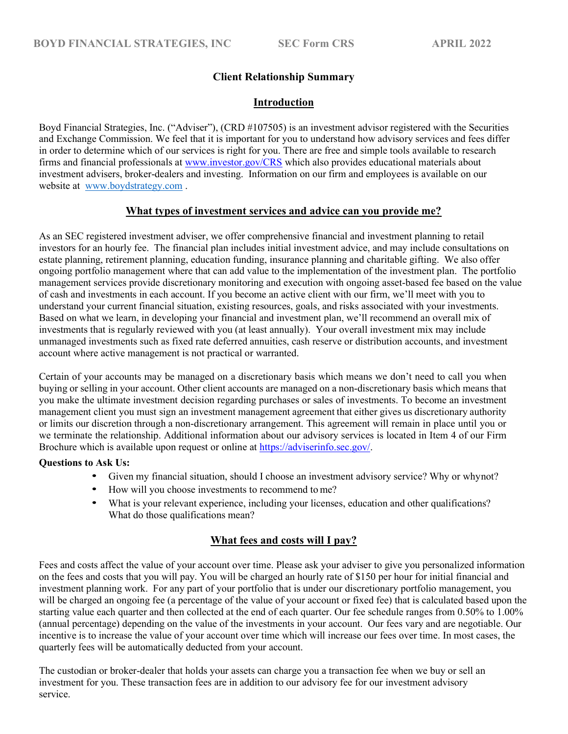# Client Relationship Summary

## Introduction

Boyd Financial Strategies, Inc. ("Adviser"), (CRD #107505) is an investment advisor registered with the Securities and Exchange Commission. We feel that it is important for you to understand how advisory services and fees differ in order to determine which of our services is right for you. There are free and simple tools available to research firms and financial professionals at www.investor.gov/CRS which also provides educational materials about investment advisers, broker-dealers and investing. Information on our firm and employees is available on our website at www.boydstrategy.com .

## What types of investment services and advice can you provide me?

As an SEC registered investment adviser, we offer comprehensive financial and investment planning to retail investors for an hourly fee. The financial plan includes initial investment advice, and may include consultations on estate planning, retirement planning, education funding, insurance planning and charitable gifting. We also offer ongoing portfolio management where that can add value to the implementation of the investment plan. The portfolio management services provide discretionary monitoring and execution with ongoing asset-based fee based on the value of cash and investments in each account. If you become an active client with our firm, we'll meet with you to understand your current financial situation, existing resources, goals, and risks associated with your investments. Based on what we learn, in developing your financial and investment plan, we'll recommend an overall mix of investments that is regularly reviewed with you (at least annually). Your overall investment mix may include unmanaged investments such as fixed rate deferred annuities, cash reserve or distribution accounts, and investment account where active management is not practical or warranted.

Certain of your accounts may be managed on a discretionary basis which means we don't need to call you when buying or selling in your account. Other client accounts are managed on a non-discretionary basis which means that you make the ultimate investment decision regarding purchases or sales of investments. To become an investment management client you must sign an investment management agreement that either gives us discretionary authority or limits our discretion through a non-discretionary arrangement. This agreement will remain in place until you or we terminate the relationship. Additional information about our advisory services is located in Item 4 of our Firm Brochure which is available upon request or online at https://adviserinfo.sec.gov/.

### Questions to Ask Us:

- Given my financial situation, should I choose an investment advisory service? Why or whynot?
- How will you choose investments to recommend to me?
- What is your relevant experience, including your licenses, education and other qualifications? What do those qualifications mean?

# What fees and costs will I pay?

Fees and costs affect the value of your account over time. Please ask your adviser to give you personalized information on the fees and costs that you will pay. You will be charged an hourly rate of \$150 per hour for initial financial and investment planning work. For any part of your portfolio that is under our discretionary portfolio management, you will be charged an ongoing fee (a percentage of the value of your account or fixed fee) that is calculated based upon the starting value each quarter and then collected at the end of each quarter. Our fee schedule ranges from 0.50% to 1.00% (annual percentage) depending on the value of the investments in your account. Our fees vary and are negotiable. Our incentive is to increase the value of your account over time which will increase our fees over time. In most cases, the quarterly fees will be automatically deducted from your account.

The custodian or broker-dealer that holds your assets can charge you a transaction fee when we buy or sell an investment for you. These transaction fees are in addition to our advisory fee for our investment advisory service.